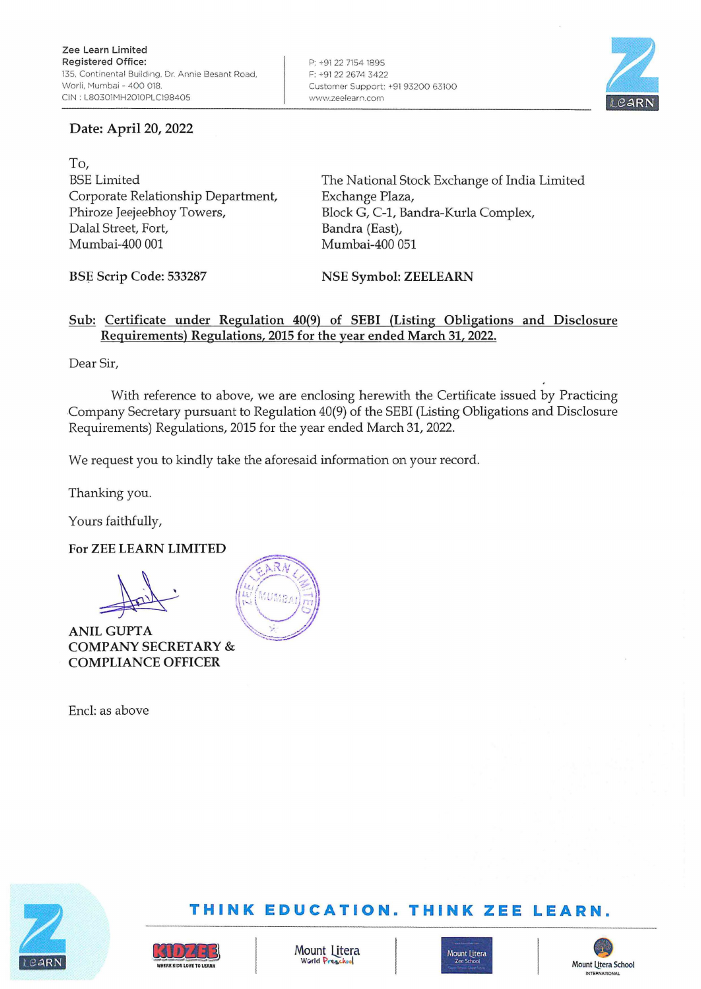## Date: April 20, 2022

BSE Limited Corporate Relationship Department, Phiroze Jeejeebhoy Towers, Dalal Street, Fort,

The National Stock Exchange of India Limited Exchange Plaza, Block G, C-1, Bandra-Kurla Complex, Bandra (East), Mumbai-400 051

**BSp Scrip Code: 533287** 

Mumbai-400 001

**NSE Symbol: ZEELEARN** 

## **Sub: Certificate under Regulation 40(9) of SEBI (Listing Obligations and Disclosure Requirements) Regulations, 2015 for the year ended March 31, 2022.**

Dear Sir,

To,

With reference to above, we are enclosing herewith the Certificate issued by Practicing Company Secretary pursuant to Regulation 40(9) of the SEBI (Listing Obligations and Disclosure Requirements) Regulations, 2015 for the year ended March 31, 2022.

We request you to kindly take the aforesaid information on your record.

Thanking you.

Yours faithfully,

**For ZEE LEARN LIMITED** 

**ANILGUPTA COMPANY SECRET ARY** & **COMPLIANCE OFFICER** 

Encl: as above





# **TH INK EDUCATION. TH INK ZEE LEARN.**